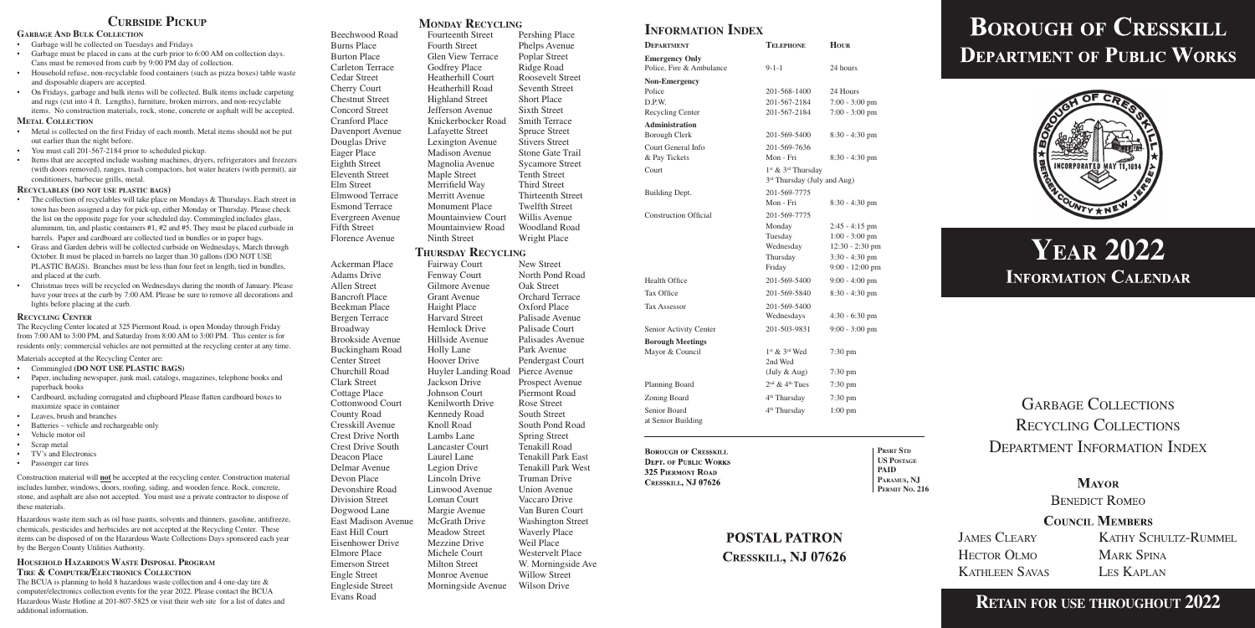GARBAGE COLLECTIONS Recycling Collections Department Information Index

> **MAYOR BENEDICT ROMEO**

**COUNCIL MEMBERS** 

#### **Curbside Pickup**

#### **Garbage And Bulk Collection**

- • Garbage will be collected on Tuesdays and Fridays
- Garbage must be placed in cans at the curb prior to 6:00 AM on collection days. Cans must be removed from curb by 9:00 PM day of collection.
- • Household refuse, non-recyclable food containers (such as pizza boxes) table waste and disposable diapers are accepted.
- On Fridays, garbage and bulk items will be collected. Bulk items include carpeting and rugs (cut into 4 ft. Lengths), furniture, broken mirrors, and non-recyclable items. No construction materials, rock, stone, concrete or asphalt will be accepted.

- Metal is collected on the first Friday of each month. Metal items should not be put out earlier than the night before.
- You must call 201-567-2184 prior to scheduled pickup.
- • Items that are accepted include washing machines, dryers, refrigerators and freezers (with doors removed), ranges, trash compactors, hot water heaters (with permit), air conditioners, barbecue grills, metal.

#### **Metal Collection**

- The collection of recyclables will take place on Mondays & Thursdays. Each street in town has been assigned a day for pick-up, either Monday or Thursday. Please check the list on the opposite page for your scheduled day. Commingled includes glass, aluminum, tin, and plastic containers #1, #2 and #5. They must be placed curbside in barrels. Paper and cardboard are collected tied in bundles or in paper bags.
- Grass and Garden debris will be collected curbside on Wednesdays, March through October. It must be placed in barrels no larger than 30 gallons (DO NOT USE PLASTIC BAGS). Branches must be less than four feet in length, tied in bundles, and placed at the curb.
- • Christmas trees will be recycled on Wednesdays during the month of January. Please have your trees at the curb by 7:00 AM. Please be sure to remove all decorations and lights before placing at the curb.

#### **Recyclables (do not use plastic bags)**

- • Commingled **(DO NOT USE PLASTIC BAGS)**
- Paper, including newspaper, junk mail, catalogs, magazines, telephone books and paperback books
- • Cardboard, including corrugated and chipboard Please flatten cardboard boxes to maximize space in container
- Leaves, brush and branches
- Batteries vehicle and rechargeable only
- • Vehicle motor oil
- Scrap metal
- • TV's and Electronics
- Passenger car tires

HECTOR OLMO MARK SPINA Kathleen Savas Les Kaplan

JAMES CLEARY KATHY SCHULTZ-RUMMEL

### **POSTAL PATRON CRESSKILL, NJ 07626**

## **Year 2022 INFORMATION CALENDAR**

#### **Recycling Center**

Building Dept.

Senior Activity Center

The Recycling Center located at 325 Piermont Road, is open Monday through Friday from 7:00 AM to 3:00 PM, and Saturday from 8:00 AM to 3:00 PM. This center is for residents only; commercial vehicles are not permitted at the recycling center at any time.

Materials accepted at the Recycling Center are:

Planning Board Zoning Board Senior Board at Senior Building

**BOROUGH OF CRESSKILL DEPT. OF PUBLIC WORKS 325 PIERMONT ROAD** CRESSKILL, NJ 07626

**PRSRT** STD **US Postage Paid Paramus, NJ Permit No. 216**

Construction material will **not** be accepted at the recycling center. Construction material includes lumber, windows, doors, roofing, siding, and wooden fence. Rock, concrete, stone, and asphalt are also not accepted. You must use a private contractor to dispose of these materials.

Hazardous waste item such as oil base paints, solvents and thinners, gasoline, antifreeze, chemicals, pesticides and herbicides are not accepted at the Recycling Center. These items can be disposed of on the Hazardous Waste Collections Days sponsored each year by the Bergen County Utilities Authority.

#### **Household Hazardous Waste Disposal Program Tire & Computer/Electronics Collection**

The BCUA is planning to hold 8 hazardous waste collection and 4 one-day tire & computer/electronics collection events for the year 2022. Please contact the BCUA Hazardous Waste Hotline at 201-807-5825 or visit their web site for a list of dates and additional information.

Allen Street Gilmore Avenue Oak Street Beekman Place Haight Place Oxford Place Buckingham Road Holly Lane Park Avenue Cottonwood Court Kenilworth Drive Rose Street County Road Kennedy Road South Street Crest Drive North Lambs Lane Spring Street Eisenhower Drive Mezzine Drive Weil Place Engleside Street Morningside Avenue Wilson Drive Evans Road

**Retain for use throughout 2022**

### **Information Index**

#### **DEPARTMENT**

| DEPARTMENT                                        | <b>TELEPHONE</b>                                                          | <b>HOUR</b>       |
|---------------------------------------------------|---------------------------------------------------------------------------|-------------------|
| <b>Emergency Only</b><br>Police, Fire & Ambulance | $9 - 1 - 1$                                                               | 24 hours          |
| <b>Non-Emergency</b>                              |                                                                           |                   |
| Police                                            | 201-568-1400                                                              | 24 Hours          |
| D.P.W.                                            | 201-567-2184                                                              | $7:00 - 3:00$ pm  |
| Recycling Center                                  | 201-567-2184                                                              | $7:00 - 3:00$ pm  |
| <b>Administration</b>                             |                                                                           |                   |
| <b>Borough Clerk</b>                              | 201-569-5400                                                              | $8:30 - 4:30$ pm  |
| Court General Info                                | 201-569-7636                                                              |                   |
| & Pay Tickets                                     | Mon - Fri                                                                 | $8:30 - 4:30$ pm  |
| Court                                             | 1 <sup>st</sup> & 3 <sup>rd</sup> Thursday<br>3rd Thursday (July and Aug) |                   |
| <b>Building Dept.</b>                             | 201-569-7775<br>Mon - Fri                                                 | $8:30 - 4:30$ pm  |
| <b>Construction Official</b>                      | 201-569-7775                                                              |                   |
|                                                   | Monday                                                                    | $2:45 - 4:15$ pm  |
|                                                   | Tuesday                                                                   | $1:00 - 3:00$ pm  |
|                                                   | Wednesday                                                                 | 12:30 - 2:30 pm   |
|                                                   | Thursday                                                                  | $3:30 - 4:30$ pm  |
|                                                   | Friday                                                                    | $9:00 - 12:00$ pm |
| Health Office                                     | 201-569-5400                                                              | $9:00 - 4:00$ pm  |
| Tax Office                                        | 201-569-5840                                                              | $8:30 - 4:30$ pm  |
| Tax Assessor                                      | 201-569-5400                                                              |                   |
|                                                   | Wednesdays                                                                | 4:30 - 6:30 pm    |
| Senior Activity Center                            | 201-503-9831                                                              | $9:00 - 3:00$ pm  |
| <b>Borough Meetings</b>                           |                                                                           |                   |
| Mayor & Council                                   | 1 <sup>st</sup> & 3 <sup>rd</sup> Wed                                     | $7:30 \text{ pm}$ |
|                                                   | 2nd Wed                                                                   |                   |
|                                                   | (July & Aug)                                                              | 7:30 pm           |
| Planning Board                                    | $2nd$ & 4 <sup>th</sup> Tues                                              | 7:30 pm           |
| Zoning Board                                      | 4 <sup>th</sup> Thursday                                                  | $7:30 \text{ pm}$ |
| Senior Board                                      | 4 <sup>th</sup> Thursday                                                  | $1:00$ pm         |
|                                                   |                                                                           |                   |

# **BOROUGH OF CRESSKILL DEPARTMENT OF PUBLIC WORKS**



#### **Monday Recycling**

Beechwood Road Fourteenth Street Pershing Place Burns Place **Fourth Street** Phelps Avenue Burton Place Glen View Terrace Poplar Street Carleton Terrace Godfrey Place Ridge Road Cedar Street **Heatherhill Court** Roosevelt Street Cherry Court **Heatherhill Road** Seventh Street Chestnut Street Highland Street Short Place Concord Street **Jefferson Avenue** Sixth Street Cranford Place Knickerbocker Road Smith Terrace Davenport Avenue Lafayette Street Spruce Street Douglas Drive Lexington Avenue Stivers Street Eager Place Madison Avenue Stone Gate Trail Eighth Street Magnolia Avenue Sycamore Street Eleventh Street Maple Street Tenth Street Elm Street Merrifield Way Third Street Elmwood Terrace Merritt Avenue Thirteenth Street Esmond Terrace Monument Place Twelfth Street Evergreen Avenue Mountainview Court Willis Avenue Fifth Street Mountainview Road Woodland Road Florence Avenue Ninth Street Wright Place

#### **Thursday Recycling**

Ackerman Place Fairway Court New Street Adams Drive Fenway Court North Pond Road Bancroft Place Grant Avenue Orchard Terrace Bergen Terrace **Harvard Street** Palisade Avenue Broadway **Hemlock Drive** Palisade Court Brookside Avenue Hillside Avenue Palisades Avenue Center Street Hoover Drive Pendergast Court Churchill Road Huyler Landing Road Pierce Avenue Clark Street **Jackson Drive** Prospect Avenue Cottage Place **Johnson Court** Piermont Road Cresskill Avenue Knoll Road South Pond Road Crest Drive South Lancaster Court Tenakill Road Deacon Place Laurel Lane Tenakill Park East Delmar Avenue Legion Drive Tenakill Park West Devon Place Lincoln Drive Truman Drive Devonshire Road Linwood Avenue Union Avenue Division Street Loman Court Vaccaro Drive Dogwood Lane Margie Avenue Van Buren Court East Madison Avenue McGrath Drive Washington Street East Hill Court Meadow Street Waverly Place Elmore Place Michele Court Westervelt Place Emerson Street Milton Street W. Morningside Ave Engle Street Monroe Avenue Willow Street